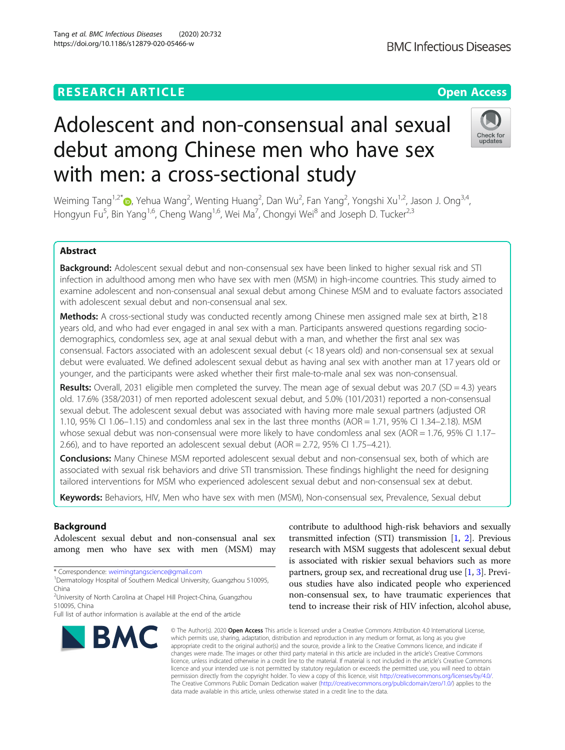# **RESEARCH ARTICLE Example 2018 12:30 THE Open Access**

# Adolescent and non-consensual anal sexual debut among Chinese men who have sex with men: a cross-sectional study

Weiming Tang<sup>1[,](http://orcid.org/0000-0002-9026-707X)2\*</sup>�, Yehua Wang<sup>2</sup>, Wenting Huang<sup>2</sup>, Dan Wu<sup>2</sup>, Fan Yang<sup>2</sup>, Yongshi Xu<sup>1,2</sup>, Jason J. Ong<sup>3,4</sup>, Hongyun Fu<sup>5</sup>, Bin Yang<sup>1,6</sup>, Cheng Wang<sup>1,6</sup>, Wei Ma<sup>7</sup>, Chongyi Wei<sup>8</sup> and Joseph D. Tucker<sup>2,3</sup>

# Abstract

Background: Adolescent sexual debut and non-consensual sex have been linked to higher sexual risk and STI infection in adulthood among men who have sex with men (MSM) in high-income countries. This study aimed to examine adolescent and non-consensual anal sexual debut among Chinese MSM and to evaluate factors associated with adolescent sexual debut and non-consensual anal sex.

Methods: A cross-sectional study was conducted recently among Chinese men assigned male sex at birth, ≥18 years old, and who had ever engaged in anal sex with a man. Participants answered questions regarding sociodemographics, condomless sex, age at anal sexual debut with a man, and whether the first anal sex was consensual. Factors associated with an adolescent sexual debut (< 18 years old) and non-consensual sex at sexual debut were evaluated. We defined adolescent sexual debut as having anal sex with another man at 17 years old or younger, and the participants were asked whether their first male-to-male anal sex was non-consensual.

Results: Overall, 2031 eligible men completed the survey. The mean age of sexual debut was 20.7 (SD = 4.3) years old. 17.6% (358/2031) of men reported adolescent sexual debut, and 5.0% (101/2031) reported a non-consensual sexual debut. The adolescent sexual debut was associated with having more male sexual partners (adjusted OR 1.10, 95% CI 1.06–1.15) and condomless anal sex in the last three months (AOR = 1.71, 95% CI 1.34–2.18). MSM whose sexual debut was non-consensual were more likely to have condomless anal sex (AOR = 1.76, 95% CI 1.17– 2.66), and to have reported an adolescent sexual debut (AOR = 2.72, 95% CI 1.75–4.21).

**Conclusions:** Many Chinese MSM reported adolescent sexual debut and non-consensual sex, both of which are associated with sexual risk behaviors and drive STI transmission. These findings highlight the need for designing tailored interventions for MSM who experienced adolescent sexual debut and non-consensual sex at debut.

Keywords: Behaviors, HIV, Men who have sex with men (MSM), Non-consensual sex, Prevalence, Sexual debut

# Background

Adolescent sexual debut and non-consensual anal sex among men who have sex with men (MSM) may

\* Correspondence: [weimingtangscience@gmail.com](mailto:weimingtangscience@gmail.com) <sup>1</sup>

which permits use, sharing, adaptation, distribution and reproduction in any medium or format, as long as you give appropriate credit to the original author(s) and the source, provide a link to the Creative Commons licence, and indicate if changes were made. The images or other third party material in this article are included in the article's Creative Commons licence, unless indicated otherwise in a credit line to the material. If material is not included in the article's Creative Commons licence and your intended use is not permitted by statutory regulation or exceeds the permitted use, you will need to obtain permission directly from the copyright holder. To view a copy of this licence, visit [http://creativecommons.org/licenses/by/4.0/.](http://creativecommons.org/licenses/by/4.0/) The Creative Commons Public Domain Dedication waiver [\(http://creativecommons.org/publicdomain/zero/1.0/](http://creativecommons.org/publicdomain/zero/1.0/)) applies to the data made available in this article, unless otherwise stated in a credit line to the data.

© The Author(s), 2020 **Open Access** This article is licensed under a Creative Commons Attribution 4.0 International License,

contribute to adulthood high-risk behaviors and sexually transmitted infection (STI) transmission [\[1](#page-7-0), [2\]](#page-7-0). Previous research with MSM suggests that adolescent sexual debut is associated with riskier sexual behaviors such as more partners, group sex, and recreational drug use  $[1, 3]$  $[1, 3]$  $[1, 3]$  $[1, 3]$  $[1, 3]$ . Previous studies have also indicated people who experienced non-consensual sex, to have traumatic experiences that tend to increase their risk of HIV infection, alcohol abuse,







<sup>&</sup>lt;sup>1</sup>Dermatology Hospital of Southern Medical University, Guangzhou 510095, China

<sup>&</sup>lt;sup>2</sup>University of North Carolina at Chapel Hill Project-China, Guangzhou 510095, China

Full list of author information is available at the end of the article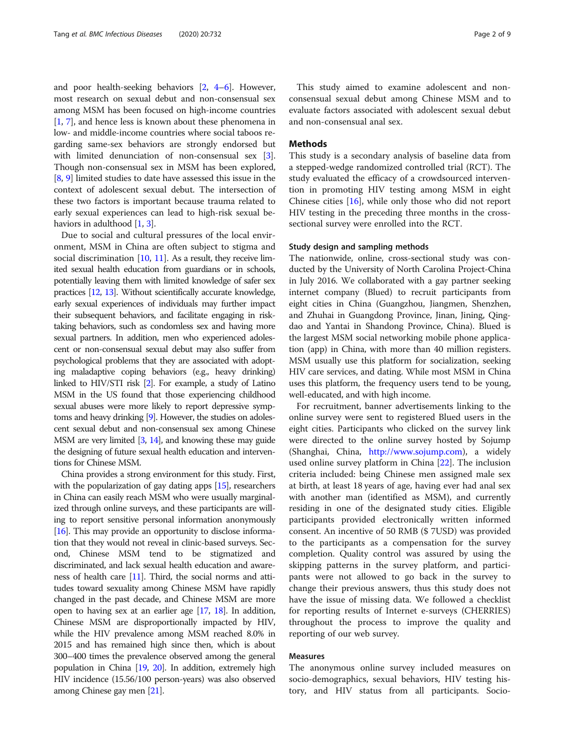and poor health-seeking behaviors [\[2,](#page-7-0) [4](#page-7-0)–[6](#page-7-0)]. However, most research on sexual debut and non-consensual sex among MSM has been focused on high-income countries [[1,](#page-7-0) [7](#page-7-0)], and hence less is known about these phenomena in low- and middle-income countries where social taboos regarding same-sex behaviors are strongly endorsed but with limited denunciation of non-consensual sex [[3](#page-7-0)]. Though non-consensual sex in MSM has been explored, [[8,](#page-7-0) [9](#page-7-0)] limited studies to date have assessed this issue in the context of adolescent sexual debut. The intersection of these two factors is important because trauma related to early sexual experiences can lead to high-risk sexual be-haviors in adulthood [[1,](#page-7-0) [3](#page-7-0)].

Due to social and cultural pressures of the local environment, MSM in China are often subject to stigma and social discrimination [[10,](#page-7-0) [11\]](#page-7-0). As a result, they receive limited sexual health education from guardians or in schools, potentially leaving them with limited knowledge of safer sex practices [\[12](#page-7-0), [13\]](#page-7-0). Without scientifically accurate knowledge, early sexual experiences of individuals may further impact their subsequent behaviors, and facilitate engaging in risktaking behaviors, such as condomless sex and having more sexual partners. In addition, men who experienced adolescent or non-consensual sexual debut may also suffer from psychological problems that they are associated with adopting maladaptive coping behaviors (e.g., heavy drinking) linked to HIV/STI risk [\[2\]](#page-7-0). For example, a study of Latino MSM in the US found that those experiencing childhood sexual abuses were more likely to report depressive symptoms and heavy drinking [[9](#page-7-0)]. However, the studies on adolescent sexual debut and non-consensual sex among Chinese MSM are very limited [\[3,](#page-7-0) [14\]](#page-7-0), and knowing these may guide the designing of future sexual health education and interventions for Chinese MSM.

China provides a strong environment for this study. First, with the popularization of gay dating apps [\[15\]](#page-7-0), researchers in China can easily reach MSM who were usually marginalized through online surveys, and these participants are willing to report sensitive personal information anonymously [[16](#page-7-0)]. This may provide an opportunity to disclose information that they would not reveal in clinic-based surveys. Second, Chinese MSM tend to be stigmatized and discriminated, and lack sexual health education and awareness of health care [\[11\]](#page-7-0). Third, the social norms and attitudes toward sexuality among Chinese MSM have rapidly changed in the past decade, and Chinese MSM are more open to having sex at an earlier age [\[17,](#page-7-0) [18](#page-7-0)]. In addition, Chinese MSM are disproportionally impacted by HIV, while the HIV prevalence among MSM reached 8.0% in 2015 and has remained high since then, which is about 300–400 times the prevalence observed among the general population in China [[19,](#page-7-0) [20\]](#page-8-0). In addition, extremely high HIV incidence (15.56/100 person-years) was also observed among Chinese gay men [[21](#page-8-0)].

This study aimed to examine adolescent and nonconsensual sexual debut among Chinese MSM and to evaluate factors associated with adolescent sexual debut and non-consensual anal sex.

## Methods

This study is a secondary analysis of baseline data from a stepped-wedge randomized controlled trial (RCT). The study evaluated the efficacy of a crowdsourced intervention in promoting HIV testing among MSM in eight Chinese cities [\[16](#page-7-0)], while only those who did not report HIV testing in the preceding three months in the crosssectional survey were enrolled into the RCT.

#### Study design and sampling methods

The nationwide, online, cross-sectional study was conducted by the University of North Carolina Project-China in July 2016. We collaborated with a gay partner seeking internet company (Blued) to recruit participants from eight cities in China (Guangzhou, Jiangmen, Shenzhen, and Zhuhai in Guangdong Province, Jinan, Jining, Qingdao and Yantai in Shandong Province, China). Blued is the largest MSM social networking mobile phone application (app) in China, with more than 40 million registers. MSM usually use this platform for socialization, seeking HIV care services, and dating. While most MSM in China uses this platform, the frequency users tend to be young, well-educated, and with high income.

For recruitment, banner advertisements linking to the online survey were sent to registered Blued users in the eight cities. Participants who clicked on the survey link were directed to the online survey hosted by Sojump (Shanghai, China, [http://www.sojump.com\)](http://www.sojump.com), a widely used online survey platform in China [[22\]](#page-8-0). The inclusion criteria included: being Chinese men assigned male sex at birth, at least 18 years of age, having ever had anal sex with another man (identified as MSM), and currently residing in one of the designated study cities. Eligible participants provided electronically written informed consent. An incentive of 50 RMB (\$ 7USD) was provided to the participants as a compensation for the survey completion. Quality control was assured by using the skipping patterns in the survey platform, and participants were not allowed to go back in the survey to change their previous answers, thus this study does not have the issue of missing data. We followed a checklist for reporting results of Internet e-surveys (CHERRIES) throughout the process to improve the quality and reporting of our web survey.

# Measures

The anonymous online survey included measures on socio-demographics, sexual behaviors, HIV testing history, and HIV status from all participants. Socio-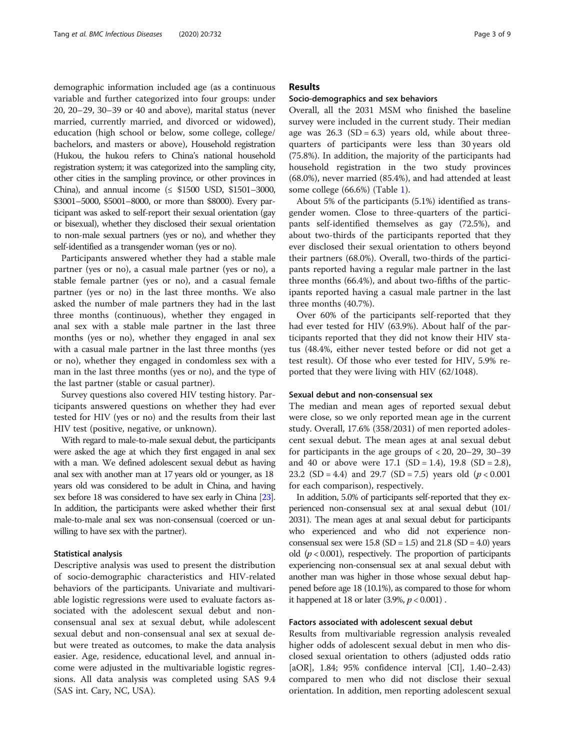demographic information included age (as a continuous variable and further categorized into four groups: under 20, 20–29, 30–39 or 40 and above), marital status (never married, currently married, and divorced or widowed), education (high school or below, some college, college/ bachelors, and masters or above), Household registration (Hukou, the hukou refers to China's national household registration system; it was categorized into the sampling city, other cities in the sampling province, or other provinces in China), and annual income  $(≤ $1500$  USD, \$1501-3000, \$3001–5000, \$5001–8000, or more than \$8000). Every participant was asked to self-report their sexual orientation (gay or bisexual), whether they disclosed their sexual orientation to non-male sexual partners (yes or no), and whether they self-identified as a transgender woman (yes or no).

Participants answered whether they had a stable male partner (yes or no), a casual male partner (yes or no), a stable female partner (yes or no), and a casual female partner (yes or no) in the last three months. We also asked the number of male partners they had in the last three months (continuous), whether they engaged in anal sex with a stable male partner in the last three months (yes or no), whether they engaged in anal sex with a casual male partner in the last three months (yes or no), whether they engaged in condomless sex with a man in the last three months (yes or no), and the type of the last partner (stable or casual partner).

Survey questions also covered HIV testing history. Participants answered questions on whether they had ever tested for HIV (yes or no) and the results from their last HIV test (positive, negative, or unknown).

With regard to male-to-male sexual debut, the participants were asked the age at which they first engaged in anal sex with a man. We defined adolescent sexual debut as having anal sex with another man at 17 years old or younger, as 18 years old was considered to be adult in China, and having sex before 18 was considered to have sex early in China [\[23\]](#page-8-0). In addition, the participants were asked whether their first male-to-male anal sex was non-consensual (coerced or unwilling to have sex with the partner).

#### Statistical analysis

Descriptive analysis was used to present the distribution of socio-demographic characteristics and HIV-related behaviors of the participants. Univariate and multivariable logistic regressions were used to evaluate factors associated with the adolescent sexual debut and nonconsensual anal sex at sexual debut, while adolescent sexual debut and non-consensual anal sex at sexual debut were treated as outcomes, to make the data analysis easier. Age, residence, educational level, and annual income were adjusted in the multivariable logistic regressions. All data analysis was completed using SAS 9.4 (SAS int. Cary, NC, USA).

# Results

#### Socio-demographics and sex behaviors

Overall, all the 2031 MSM who finished the baseline survey were included in the current study. Their median age was  $26.3$  (SD = 6.3) years old, while about threequarters of participants were less than 30 years old (75.8%). In addition, the majority of the participants had household registration in the two study provinces (68.0%), never married (85.4%), and had attended at least some college (66.6%) (Table [1](#page-3-0)).

About 5% of the participants (5.1%) identified as transgender women. Close to three-quarters of the participants self-identified themselves as gay (72.5%), and about two-thirds of the participants reported that they ever disclosed their sexual orientation to others beyond their partners (68.0%). Overall, two-thirds of the participants reported having a regular male partner in the last three months (66.4%), and about two-fifths of the participants reported having a casual male partner in the last three months (40.7%).

Over 60% of the participants self-reported that they had ever tested for HIV (63.9%). About half of the participants reported that they did not know their HIV status (48.4%, either never tested before or did not get a test result). Of those who ever tested for HIV, 5.9% reported that they were living with HIV (62/1048).

#### Sexual debut and non-consensual sex

The median and mean ages of reported sexual debut were close, so we only reported mean age in the current study. Overall, 17.6% (358/2031) of men reported adolescent sexual debut. The mean ages at anal sexual debut for participants in the age groups of < 20, 20–29, 30–39 and 40 or above were  $17.1$  (SD = 1.4), 19.8 (SD = 2.8), 23.2 (SD = 4.4) and 29.7 (SD = 7.5) years old  $(p < 0.001$ for each comparison), respectively.

In addition, 5.0% of participants self-reported that they experienced non-consensual sex at anal sexual debut (101/ 2031). The mean ages at anal sexual debut for participants who experienced and who did not experience nonconsensual sex were  $15.8$  (SD = 1.5) and  $21.8$  (SD = 4.0) years old ( $p < 0.001$ ), respectively. The proportion of participants experiencing non-consensual sex at anal sexual debut with another man was higher in those whose sexual debut happened before age 18 (10.1%), as compared to those for whom it happened at 18 or later  $(3.9%, p < 0.001)$ .

# Factors associated with adolescent sexual debut

Results from multivariable regression analysis revealed higher odds of adolescent sexual debut in men who disclosed sexual orientation to others (adjusted odds ratio [aOR], 1.84; 95% confidence interval [CI], 1.40–2.43) compared to men who did not disclose their sexual orientation. In addition, men reporting adolescent sexual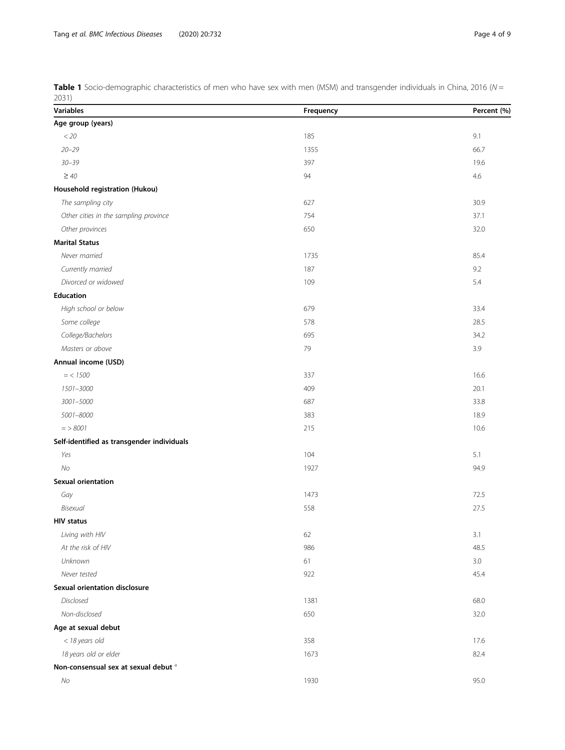<span id="page-3-0"></span>**Table 1** Socio-demographic characteristics of men who have sex with men (MSM) and transgender individuals in China, 2016 (N = 2031)

| 400 H<br><b>Variables</b>                       | Frequency | Percent (%) |
|-------------------------------------------------|-----------|-------------|
| Age group (years)                               |           |             |
| $<$ 20                                          | 185       | 9.1         |
| $20 - 29$                                       | 1355      | 66.7        |
| $30 - 39$                                       | 397       | 19.6        |
| $\geq 40$                                       | 94        | 4.6         |
| Household registration (Hukou)                  |           |             |
| The sampling city                               | 627       | 30.9        |
| Other cities in the sampling province           | 754       | 37.1        |
| Other provinces                                 | 650       | 32.0        |
| <b>Marital Status</b>                           |           |             |
| Never married                                   | 1735      | 85.4        |
| Currently married                               | 187       | 9.2         |
| Divorced or widowed                             | 109       | 5.4         |
| Education                                       |           |             |
| High school or below                            | 679       | 33.4        |
| Some college                                    | 578       | 28.5        |
| College/Bachelors                               | 695       | 34.2        |
| Masters or above                                | 79        | 3.9         |
| Annual income (USD)                             |           |             |
| $=$ < 1500                                      | 337       | 16.6        |
| 1501-3000                                       | 409       | 20.1        |
| 3001-5000                                       | 687       | 33.8        |
| 5001-8000                                       | 383       | 18.9        |
| $=$ > 8001                                      | 215       | 10.6        |
| Self-identified as transgender individuals      |           |             |
| Yes                                             | 104       | 5.1         |
| No                                              | 1927      | 94.9        |
| Sexual orientation                              |           |             |
| Gay                                             | 1473      | 72.5        |
| Bisexual                                        | 558       | 27.5        |
| <b>HIV status</b>                               |           |             |
| Living with HIV                                 | 62        | 3.1         |
| At the risk of HIV                              | 986       | 48.5        |
| Unknown                                         | 61        | 3.0         |
| Never tested                                    | 922       | 45.4        |
| <b>Sexual orientation disclosure</b>            |           |             |
| Disclosed                                       | 1381      | 68.0        |
| Non-disclosed                                   | 650       | 32.0        |
| Age at sexual debut                             |           |             |
| < 18 years old                                  | 358       | 17.6        |
| 18 years old or elder                           | 1673      | 82.4        |
| Non-consensual sex at sexual debut <sup>a</sup> |           |             |
| No                                              | 1930      | 95.0        |
|                                                 |           |             |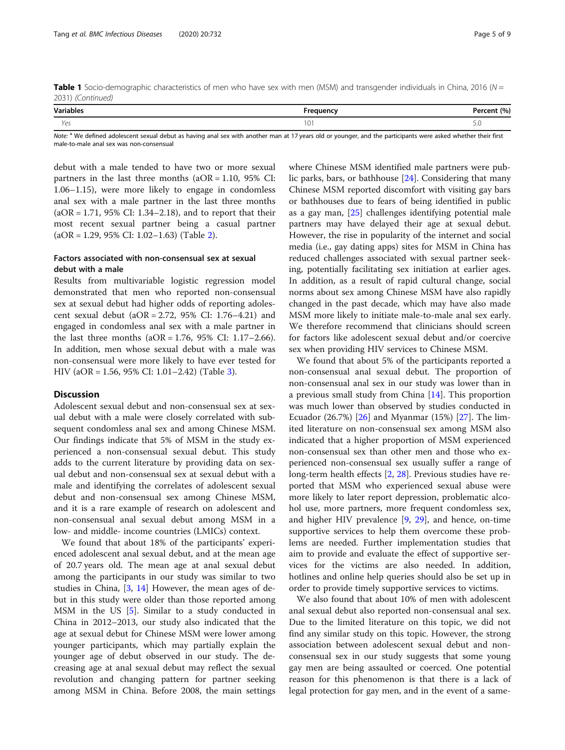Table 1 Socio-demographic characteristics of men who have sex with men (MSM) and transgender individuals in China, 2016 ( $N =$ 2031) (Continued)

| <b>Variables</b> | <br>nuenc, | 10/ |
|------------------|------------|-----|
| Yes              | $\cup$     | J.U |

Note: <sup>a</sup> We defined adolescent sexual debut as having anal sex with another man at 17 years old or younger, and the participants were asked whether their first male-to-male anal sex was non-consensual

debut with a male tended to have two or more sexual partners in the last three months  $(aOR = 1.10, 95\% \text{ CI:})$ 1.06–1.15), were more likely to engage in condomless anal sex with a male partner in the last three months  $(aOR = 1.71, 95\% CI: 1.34–2.18)$ , and to report that their most recent sexual partner being a casual partner  $(aOR = 1.29, 95\% \text{ CI: } 1.02 - 1.63)$  (Table [2\)](#page-5-0).

# Factors associated with non-consensual sex at sexual debut with a male

Results from multivariable logistic regression model demonstrated that men who reported non-consensual sex at sexual debut had higher odds of reporting adolescent sexual debut (aOR = 2.72, 95% CI: 1.76–4.21) and engaged in condomless anal sex with a male partner in the last three months  $(aOR = 1.76, 95\% \text{ CI: } 1.17-2.66)$ . In addition, men whose sexual debut with a male was non-consensual were more likely to have ever tested for HIV (aOR = 1.56, 95% CI: 1.01–2.42) (Table [3\)](#page-6-0).

#### **Discussion**

Adolescent sexual debut and non-consensual sex at sexual debut with a male were closely correlated with subsequent condomless anal sex and among Chinese MSM. Our findings indicate that 5% of MSM in the study experienced a non-consensual sexual debut. This study adds to the current literature by providing data on sexual debut and non-consensual sex at sexual debut with a male and identifying the correlates of adolescent sexual debut and non-consensual sex among Chinese MSM, and it is a rare example of research on adolescent and non-consensual anal sexual debut among MSM in a low- and middle- income countries (LMICs) context.

We found that about 18% of the participants' experienced adolescent anal sexual debut, and at the mean age of 20.7 years old. The mean age at anal sexual debut among the participants in our study was similar to two studies in China, [\[3](#page-7-0), [14\]](#page-7-0) However, the mean ages of debut in this study were older than those reported among MSM in the US [\[5](#page-7-0)]. Similar to a study conducted in China in 2012–2013, our study also indicated that the age at sexual debut for Chinese MSM were lower among younger participants, which may partially explain the younger age of debut observed in our study. The decreasing age at anal sexual debut may reflect the sexual revolution and changing pattern for partner seeking among MSM in China. Before 2008, the main settings

where Chinese MSM identified male partners were public parks, bars, or bathhouse [\[24](#page-8-0)]. Considering that many Chinese MSM reported discomfort with visiting gay bars or bathhouses due to fears of being identified in public as a gay man, [[25](#page-8-0)] challenges identifying potential male partners may have delayed their age at sexual debut. However, the rise in popularity of the internet and social media (i.e., gay dating apps) sites for MSM in China has reduced challenges associated with sexual partner seeking, potentially facilitating sex initiation at earlier ages. In addition, as a result of rapid cultural change, social norms about sex among Chinese MSM have also rapidly changed in the past decade, which may have also made MSM more likely to initiate male-to-male anal sex early. We therefore recommend that clinicians should screen for factors like adolescent sexual debut and/or coercive sex when providing HIV services to Chinese MSM.

We found that about 5% of the participants reported a non-consensual anal sexual debut. The proportion of non-consensual anal sex in our study was lower than in a previous small study from China [\[14](#page-7-0)]. This proportion was much lower than observed by studies conducted in Ecuador (26.7%) [[26\]](#page-8-0) and Myanmar (15%) [\[27\]](#page-8-0). The limited literature on non-consensual sex among MSM also indicated that a higher proportion of MSM experienced non-consensual sex than other men and those who experienced non-consensual sex usually suffer a range of long-term health effects [\[2](#page-7-0), [28](#page-8-0)]. Previous studies have reported that MSM who experienced sexual abuse were more likely to later report depression, problematic alcohol use, more partners, more frequent condomless sex, and higher HIV prevalence [\[9](#page-7-0), [29](#page-8-0)], and hence, on-time supportive services to help them overcome these problems are needed. Further implementation studies that aim to provide and evaluate the effect of supportive services for the victims are also needed. In addition, hotlines and online help queries should also be set up in order to provide timely supportive services to victims.

We also found that about 10% of men with adolescent anal sexual debut also reported non-consensual anal sex. Due to the limited literature on this topic, we did not find any similar study on this topic. However, the strong association between adolescent sexual debut and nonconsensual sex in our study suggests that some young gay men are being assaulted or coerced. One potential reason for this phenomenon is that there is a lack of legal protection for gay men, and in the event of a same-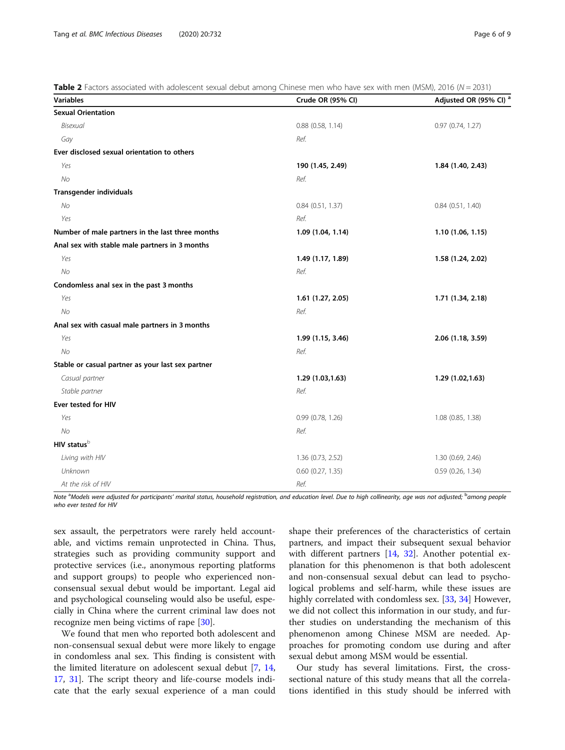<span id="page-5-0"></span>Table 2 Factors associated with adolescent sexual debut among Chinese men who have sex with men (MSM), 2016 ( $N = 2031$ )

| <b>Variables</b>                                  | Crude OR (95% CI)     | Adjusted OR (95% CI) <sup>8</sup> |
|---------------------------------------------------|-----------------------|-----------------------------------|
| <b>Sexual Orientation</b>                         |                       |                                   |
| Bisexual                                          | $0.88$ (0.58, 1.14)   | 0.97(0.74, 1.27)                  |
| Gay                                               | Ref.                  |                                   |
| Ever disclosed sexual orientation to others       |                       |                                   |
| Yes                                               | 190 (1.45, 2.49)      | 1.84 (1.40, 2.43)                 |
| No                                                | Ref.                  |                                   |
| <b>Transgender individuals</b>                    |                       |                                   |
| No                                                | 0.84(0.51, 1.37)      | 0.84(0.51, 1.40)                  |
| Yes                                               | Ref.                  |                                   |
| Number of male partners in the last three months  | 1.09 (1.04, 1.14)     | 1.10(1.06, 1.15)                  |
| Anal sex with stable male partners in 3 months    |                       |                                   |
| Yes                                               | 1.49 (1.17, 1.89)     | 1.58 (1.24, 2.02)                 |
| <b>No</b>                                         | Ref.                  |                                   |
| Condomless anal sex in the past 3 months          |                       |                                   |
| Yes                                               | 1.61 (1.27, 2.05)     | 1.71 (1.34, 2.18)                 |
| <b>No</b>                                         | Ref.                  |                                   |
| Anal sex with casual male partners in 3 months    |                       |                                   |
| Yes                                               | 1.99 (1.15, 3.46)     | 2.06 (1.18, 3.59)                 |
| No                                                | Ref.                  |                                   |
| Stable or casual partner as your last sex partner |                       |                                   |
| Casual partner                                    | 1.29 (1.03,1.63)      | 1.29 (1.02,1.63)                  |
| Stable partner                                    | Ref.                  |                                   |
| Ever tested for HIV                               |                       |                                   |
| Yes                                               | 0.99 (0.78, 1.26)     | 1.08 (0.85, 1.38)                 |
| <b>No</b>                                         | Ref.                  |                                   |
| HIV status <sup>b</sup>                           |                       |                                   |
| Living with HIV                                   | 1.36 (0.73, 2.52)     | 1.30 (0.69, 2.46)                 |
| Unknown                                           | $0.60$ $(0.27, 1.35)$ | $0.59$ (0.26, 1.34)               |
| At the risk of HIV                                | Ref.                  |                                   |

Note <sup>a</sup>Models were adjusted for participants' marital status, household registration, and education level. Due to high collinearity, age was not adjusted; <sup>b</sup>among people who ever tested for HIV

sex assault, the perpetrators were rarely held accountable, and victims remain unprotected in China. Thus, strategies such as providing community support and protective services (i.e., anonymous reporting platforms and support groups) to people who experienced nonconsensual sexual debut would be important. Legal aid and psychological counseling would also be useful, especially in China where the current criminal law does not recognize men being victims of rape [\[30](#page-8-0)].

We found that men who reported both adolescent and non-consensual sexual debut were more likely to engage in condomless anal sex. This finding is consistent with the limited literature on adolescent sexual debut [[7,](#page-7-0) [14](#page-7-0), [17,](#page-7-0) [31\]](#page-8-0). The script theory and life-course models indicate that the early sexual experience of a man could

shape their preferences of the characteristics of certain partners, and impact their subsequent sexual behavior with different partners [[14,](#page-7-0) [32\]](#page-8-0). Another potential explanation for this phenomenon is that both adolescent and non-consensual sexual debut can lead to psychological problems and self-harm, while these issues are highly correlated with condomless sex. [\[33,](#page-8-0) [34\]](#page-8-0) However, we did not collect this information in our study, and further studies on understanding the mechanism of this phenomenon among Chinese MSM are needed. Approaches for promoting condom use during and after sexual debut among MSM would be essential.

Our study has several limitations. First, the crosssectional nature of this study means that all the correlations identified in this study should be inferred with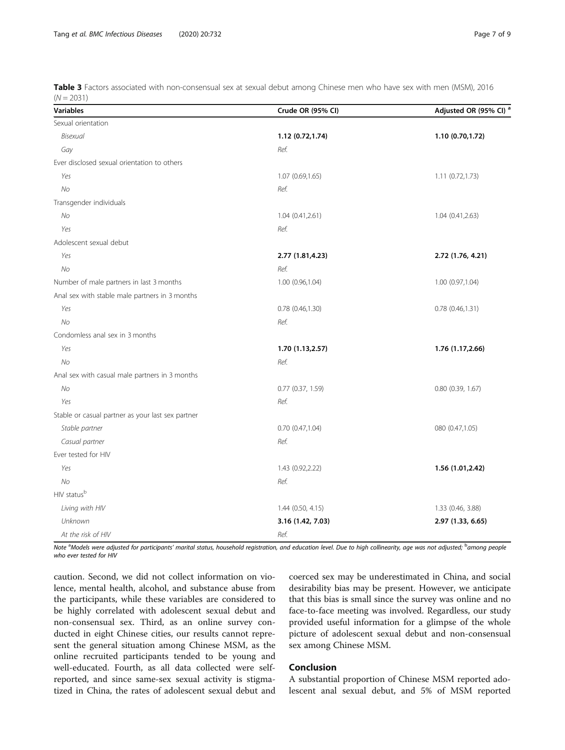<span id="page-6-0"></span>Table 3 Factors associated with non-consensual sex at sexual debut among Chinese men who have sex with men (MSM), 2016  $(N = 2031)$ 

| <b>Variables</b>                                  | Crude OR (95% CI)     | Adjusted OR (95% CI) <sup>6</sup> |
|---------------------------------------------------|-----------------------|-----------------------------------|
| Sexual orientation                                |                       |                                   |
| Bisexual                                          | 1.12 (0.72,1.74)      | 1.10 (0.70,1.72)                  |
| Gay                                               | Ref.                  |                                   |
| Ever disclosed sexual orientation to others       |                       |                                   |
| Yes                                               | 1.07 (0.69,1.65)      | 1.11 (0.72,1.73)                  |
| No                                                | Ref.                  |                                   |
| Transgender individuals                           |                       |                                   |
| No                                                | 1.04(0.41, 2.61)      | 1.04(0.41, 2.63)                  |
| Yes                                               | Ref.                  |                                   |
| Adolescent sexual debut                           |                       |                                   |
| Yes                                               | 2.77 (1.81,4.23)      | 2.72 (1.76, 4.21)                 |
| <b>No</b>                                         | Ref.                  |                                   |
| Number of male partners in last 3 months          | 1.00 (0.96,1.04)      | 1.00 (0.97,1.04)                  |
| Anal sex with stable male partners in 3 months    |                       |                                   |
| Yes                                               | 0.78 (0.46,1.30)      | 0.78(0.46, 1.31)                  |
| No                                                | Ref.                  |                                   |
| Condomless anal sex in 3 months                   |                       |                                   |
| Yes                                               | 1.70 (1.13,2.57)      | 1.76 (1.17,2.66)                  |
| <b>No</b>                                         | Ref.                  |                                   |
| Anal sex with casual male partners in 3 months    |                       |                                   |
| No                                                | $0.77$ $(0.37, 1.59)$ | $0.80$ $(0.39, 1.67)$             |
| Yes                                               | Ref.                  |                                   |
| Stable or casual partner as your last sex partner |                       |                                   |
| Stable partner                                    | 0.70(0.47,1.04)       | 080 (0.47,1.05)                   |
| Casual partner                                    | Ref.                  |                                   |
| Ever tested for HIV                               |                       |                                   |
| Yes                                               | 1.43 (0.92,2.22)      | 1.56 (1.01,2.42)                  |
| No                                                | Ref.                  |                                   |
| HIV statusb                                       |                       |                                   |
| Living with HIV                                   | $1.44$ (0.50, 4.15)   | 1.33 (0.46, 3.88)                 |
| Unknown                                           | 3.16 (1.42, 7.03)     | 2.97 (1.33, 6.65)                 |
| At the risk of HIV                                | Ref.                  |                                   |

Note <sup>a</sup>Models were adjusted for participants' marital status, household registration, and education level. Due to high collinearity, age was not adjusted; <sup>b</sup>among people who ever tested for HIV

caution. Second, we did not collect information on violence, mental health, alcohol, and substance abuse from the participants, while these variables are considered to be highly correlated with adolescent sexual debut and non-consensual sex. Third, as an online survey conducted in eight Chinese cities, our results cannot represent the general situation among Chinese MSM, as the online recruited participants tended to be young and well-educated. Fourth, as all data collected were selfreported, and since same-sex sexual activity is stigmatized in China, the rates of adolescent sexual debut and coerced sex may be underestimated in China, and social desirability bias may be present. However, we anticipate that this bias is small since the survey was online and no face-to-face meeting was involved. Regardless, our study provided useful information for a glimpse of the whole picture of adolescent sexual debut and non-consensual sex among Chinese MSM.

# Conclusion

A substantial proportion of Chinese MSM reported adolescent anal sexual debut, and 5% of MSM reported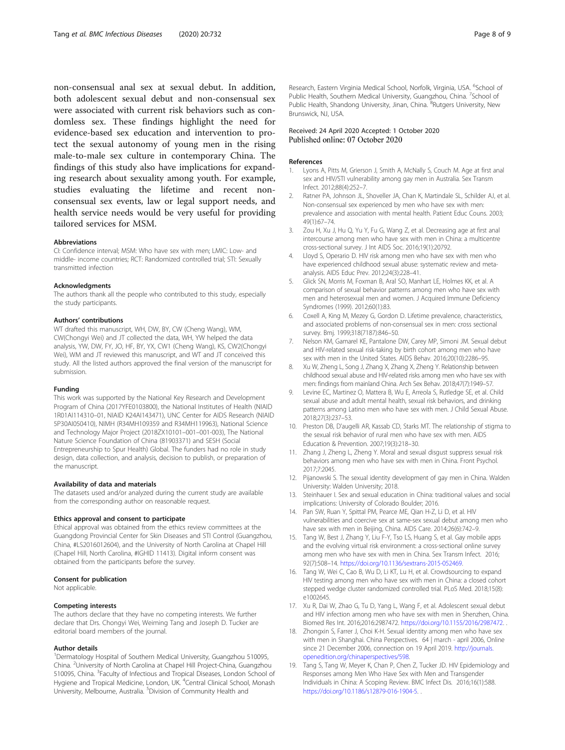<span id="page-7-0"></span>non-consensual anal sex at sexual debut. In addition, both adolescent sexual debut and non-consensual sex were associated with current risk behaviors such as condomless sex. These findings highlight the need for evidence-based sex education and intervention to protect the sexual autonomy of young men in the rising male-to-male sex culture in contemporary China. The findings of this study also have implications for expanding research about sexuality among youth. For example, studies evaluating the lifetime and recent nonconsensual sex events, law or legal support needs, and health service needs would be very useful for providing tailored services for MSM.

#### Abbreviations

CI: Confidence interval; MSM: Who have sex with men; LMIC: Low- and middle- income countries; RCT: Randomized controlled trial; STI: Sexually transmitted infection

#### Acknowledgments

The authors thank all the people who contributed to this study, especially the study participants.

#### Authors' contributions

WT drafted this manuscript, WH, DW, BY, CW (Cheng Wang), WM, CW(Chongyi Wei) and JT collected the data, WH, YW helped the data analysis, YW, DW, FY, JO, HF, BY, YX, CW1 (Cheng Wang), KS, CW2(Chongyi Wei), WM and JT reviewed this manuscript, and WT and JT conceived this study. All the listed authors approved the final version of the manuscript for submission.

#### Funding

This work was supported by the National Key Research and Development Program of China (2017YFE0103800), the National Institutes of Health (NIAID 1R01AI114310–01, NIAID K24AI143471), UNC Center for AIDS Research (NIAID 5P30AI050410), NIMH (R34MH109359 and R34MH119963), National Science and Technology Major Project (2018ZX10101–001–001-003), The National Nature Science Foundation of China (81903371) and SESH (Social Entrepreneurship to Spur Health) Global. The funders had no role in study design, data collection, and analysis, decision to publish, or preparation of the manuscript.

#### Availability of data and materials

The datasets used and/or analyzed during the current study are available from the corresponding author on reasonable request.

#### Ethics approval and consent to participate

Ethical approval was obtained from the ethics review committees at the Guangdong Provincial Center for Skin Diseases and STI Control (Guangzhou, China, #LS2016012604), and the University of North Carolina at Chapel Hill (Chapel Hill, North Carolina, #IGHID 11413). Digital inform consent was obtained from the participants before the survey.

#### Consent for publication

Not applicable.

#### Competing interests

The authors declare that they have no competing interests. We further declare that Drs. Chongyi Wei, Weiming Tang and Joseph D. Tucker are editorial board members of the journal.

#### Author details

<sup>1</sup>Dermatology Hospital of Southern Medical University, Guangzhou 510095, China. <sup>2</sup>University of North Carolina at Chapel Hill Project-China, Guangzhou 510095, China. <sup>3</sup> Faculty of Infectious and Tropical Diseases, London School of Hygiene and Tropical Medicine, London, UK. <sup>4</sup>Central Clinical School, Monash University, Melbourne, Australia. <sup>5</sup> Division of Community Health and

Research, Eastern Virginia Medical School, Norfolk, Virginia, USA. <sup>6</sup>School of Public Health, Southern Medical University, Guangzhou, China. <sup>7</sup>School of Public Health, Shandong University, Jinan, China. <sup>8</sup>Rutgers University, New Brunswick, NJ, USA.

### Received: 24 April 2020 Accepted: 1 October 2020 Published online: 07 October 2020

#### References

- 1. Lyons A, Pitts M, Grierson J, Smith A, McNally S, Couch M. Age at first anal sex and HIV/STI vulnerability among gay men in Australia. Sex Transm Infect. 2012;88(4):252–7.
- 2. Ratner PA, Johnson JL, Shoveller JA, Chan K, Martindale SL, Schilder AJ, et al. Non-consensual sex experienced by men who have sex with men: prevalence and association with mental health. Patient Educ Couns. 2003; 49(1):67–74.
- 3. Zou H, Xu J, Hu Q, Yu Y, Fu G, Wang Z, et al. Decreasing age at first anal intercourse among men who have sex with men in China: a multicentre cross-sectional survey. J Int AIDS Soc. 2016;19(1):20792.
- 4. Lloyd S, Operario D. HIV risk among men who have sex with men who have experienced childhood sexual abuse: systematic review and metaanalysis. AIDS Educ Prev. 2012;24(3):228–41.
- 5. Glick SN, Morris M, Foxman B, Aral SO, Manhart LE, Holmes KK, et al. A comparison of sexual behavior patterns among men who have sex with men and heterosexual men and women. J Acquired Immune Deficiency Syndromes (1999). 2012;60(1):83.
- 6. Coxell A, King M, Mezey G, Gordon D. Lifetime prevalence, characteristics, and associated problems of non-consensual sex in men: cross sectional survey. Bmj. 1999;318(7187):846–50.
- 7. Nelson KM, Gamarel KE, Pantalone DW, Carey MP, Simoni JM. Sexual debut and HIV-related sexual risk-taking by birth cohort among men who have sex with men in the United States. AIDS Behav. 2016;20(10):2286–95.
- 8. Xu W, Zheng L, Song J, Zhang X, Zhang X, Zheng Y. Relationship between childhood sexual abuse and HIV-related risks among men who have sex with men: findings from mainland China. Arch Sex Behav. 2018;47(7):1949–57.
- 9. Levine EC, Martinez O, Mattera B, Wu E, Arreola S, Rutledge SE, et al. Child sexual abuse and adult mental health, sexual risk behaviors, and drinking patterns among Latino men who have sex with men. J Child Sexual Abuse. 2018;27(3):237–53.
- 10. Preston DB, D'augelli AR, Kassab CD, Starks MT. The relationship of stigma to the sexual risk behavior of rural men who have sex with men. AIDS Education & Prevention. 2007;19(3):218–30.
- 11. Zhang J, Zheng L, Zheng Y. Moral and sexual disgust suppress sexual risk behaviors among men who have sex with men in China. Front Psychol. 2017;7:2045.
- 12. Pijanowski S. The sexual identity development of gay men in China. Walden University: Walden University; 2018.
- 13. Steinhauer I. Sex and sexual education in China: traditional values and social implications: University of Colorado Boulder; 2016.
- 14. Pan SW, Ruan Y, Spittal PM, Pearce ME, Qian H-Z, Li D, et al. HIV vulnerabilities and coercive sex at same-sex sexual debut among men who have sex with men in Beijing, China. AIDS Care. 2014;26(6):742–9.
- 15. Tang W, Best J, Zhang Y, Liu F-Y, Tso LS, Huang S, et al. Gay mobile apps and the evolving virtual risk environment: a cross-sectional online survey among men who have sex with men in China. Sex Transm Infect. 2016; 92(7):508–14. <https://doi.org/10.1136/sextrans-2015-052469>.
- 16. Tang W, Wei C, Cao B, Wu D, Li KT, Lu H, et al. Crowdsourcing to expand HIV testing among men who have sex with men in China: a closed cohort stepped wedge cluster randomized controlled trial. PLoS Med. 2018;15(8): e1002645.
- 17. Xu R, Dai W, Zhao G, Tu D, Yang L, Wang F, et al. Adolescent sexual debut and HIV infection among men who have sex with men in Shenzhen, China. Biomed Res Int. 2016;2016:2987472. <https://doi.org/10.1155/2016/2987472>. .
- 18. Zhongxin S, Farrer J, Choi K-H. Sexual identity among men who have sex with men in Shanghai. China Perspectives. 64 | march - april 2006, Online since 21 December 2006, connection on 19 April 2019. [http://journals.](http://www.journals.openedition.org/chinaperspectives/598) [openedition.org/chinaperspectives/598](http://www.journals.openedition.org/chinaperspectives/598).
- 19. Tang S, Tang W, Meyer K, Chan P, Chen Z, Tucker JD. HIV Epidemiology and Responses among Men Who Have Sex with Men and Transgender Individuals in China: A Scoping Review. BMC Infect Dis. 2016;16(1):588. <https://doi.org/10.1186/s12879-016-1904-5>. .